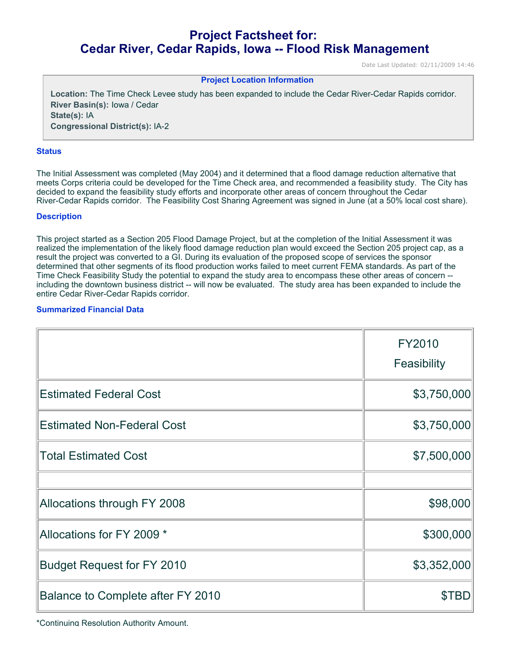# **Project Factsheet for: Cedar River, Cedar Rapids, Iowa -- Flood Risk Management**

Date Last Updated: 02/11/2009 14:46

#### **Project Location Information**

**Location:** The Time Check Levee study has been expanded to include the Cedar River-Cedar Rapids corridor. **River Basin(s):** Iowa / Cedar **State(s):** IA **Congressional District(s):** IA-2

#### **Status**

The Initial Assessment was completed (May 2004) and it determined that a flood damage reduction alternative that meets Corps criteria could be developed for the Time Check area, and recommended a feasibility study. The City has decided to expand the feasibility study efforts and incorporate other areas of concern throughout the Cedar River-Cedar Rapids corridor. The Feasibility Cost Sharing Agreement was signed in June (at a 50% local cost share).

#### **Description**

This project started as a Section 205 Flood Damage Project, but at the completion of the Initial Assessment it was realized the implementation of the likely flood damage reduction plan would exceed the Section 205 project cap, as a result the project was converted to a GI. During its evaluation of the proposed scope of services the sponsor determined that other segments of its flood production works failed to meet current FEMA standards. As part of the Time Check Feasibility Study the potential to expand the study area to encompass these other areas of concern - including the downtown business district -- will now be evaluated. The study area has been expanded to include the entire Cedar River-Cedar Rapids corridor.

#### **Summarized Financial Data**

|                                   | FY2010      |
|-----------------------------------|-------------|
|                                   | Feasibility |
| <b>Estimated Federal Cost</b>     | \$3,750,000 |
| <b>Estimated Non-Federal Cost</b> | \$3,750,000 |
| <b>Total Estimated Cost</b>       | \$7,500,000 |
|                                   |             |
| Allocations through FY 2008       | \$98,000    |
| Allocations for FY 2009 *         | \$300,000   |
| <b>Budget Request for FY 2010</b> | \$3,352,000 |
| Balance to Complete after FY 2010 | \$TBD       |

\*Continuing Resolution Authority Amount.